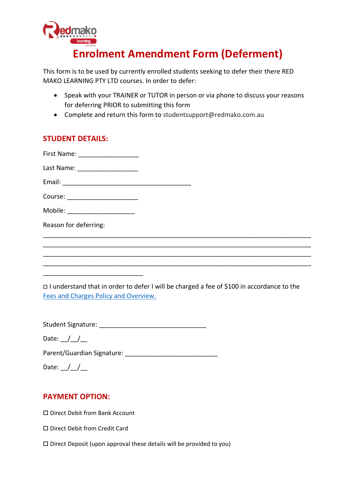

# **Enrolment Amendment Form (Deferment)**

This form is to be used by currently enrolled students seeking to defer their there RED MAKO LEARNING PTY LTD courses. In order to defer:

- Speak with your TRAINER or TUTOR in person or via phone to discuss your reasons for deferring PRIOR to submitting this form
- Complete and return this form to studentsupport@redmako.com.au

## **STUDENT DETAILS:**

| Last Name: _______________________                                                          |  |
|---------------------------------------------------------------------------------------------|--|
|                                                                                             |  |
| Course: ________________________                                                            |  |
| Mobile: _____________________                                                               |  |
| Reason for deferring:                                                                       |  |
|                                                                                             |  |
|                                                                                             |  |
|                                                                                             |  |
|                                                                                             |  |
| □ I understand that in order to defer I will be charged a fee of \$100 in accordance to the |  |
| Fees and Charges Policy and Overview.                                                       |  |
|                                                                                             |  |

Student Signature: \_\_\_\_\_\_\_\_\_\_\_\_\_\_\_\_\_\_\_\_\_\_\_\_\_\_\_\_\_\_

Date:  $\_$  / $\_$ / $\_$ 

Parent/Guardian Signature: \_\_\_\_\_\_\_\_\_\_\_\_\_\_\_\_\_\_\_\_\_\_\_\_\_\_

Date:  $\frac{1}{\sqrt{2}}$ 

## **PAYMENT OPTION:**

□ Direct Debit from Bank Account

□ Direct Debit from Credit Card

 $\square$  Direct Deposit (upon approval these details will be provided to you)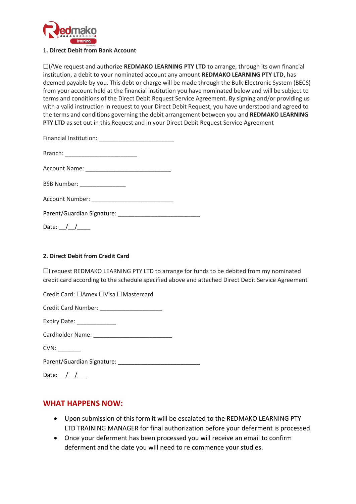

#### **1. Direct Debit from Bank Account**

☐I/We request and authorize **REDMAKO LEARNING PTY LTD** to arrange, through its own financial institution, a debit to your nominated account any amount **REDMAKO LEARNING PTY LTD**, has deemed payable by you. This debt or charge will be made through the Bulk Electronic System (BECS) from your account held at the financial institution you have nominated below and will be subject to terms and conditions of the Direct Debit Request Service Agreement. By signing and/or providing us with a valid instruction in request to your Direct Debit Request, you have understood and agreed to the terms and conditions governing the debit arrangement between you and **REDMAKO LEARNING PTY LTD** as set out in this Request and in your Direct Debit Request Service Agreement

| Financial Institution: |  |
|------------------------|--|
| Branch:                |  |
| <b>Account Name:</b>   |  |

| Account Number: |  |
|-----------------|--|

Parent/Guardian Signature:

Date:  $/$  /

#### **2. Direct Debit from Credit Card**

BSB Number: \_\_\_\_\_\_\_\_\_\_\_\_\_\_\_\_\_

☐I request REDMAKO LEARNING PTY LTD to arrange for funds to be debited from my nominated credit card according to the schedule specified above and attached Direct Debit Service Agreement

Credit Card: ☐Amex ☐Visa ☐Mastercard

Credit Card Number: \_\_\_\_\_\_\_\_\_\_\_\_\_\_\_\_\_\_\_

Expiry Date: \_\_\_\_\_\_\_\_\_\_\_\_

Cardholder Name: \_\_\_\_\_\_\_\_\_\_\_\_\_\_\_\_\_\_\_\_\_\_\_\_

CVN: \_\_\_\_\_\_\_

Parent/Guardian Signature: \_\_\_\_\_\_\_\_\_\_\_\_\_\_\_\_\_\_\_\_\_\_\_\_\_

Date:  $\frac{1}{2}$ 

## **WHAT HAPPENS NOW:**

- Upon submission of this form it will be escalated to the REDMAKO LEARNING PTY LTD TRAINING MANAGER for final authorization before your deferment is processed.
- Once your deferment has been processed you will receive an email to confirm deferment and the date you will need to re commence your studies.